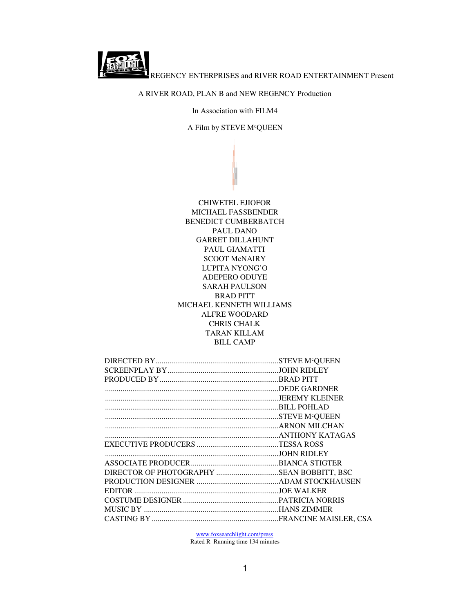REGENCY ENTERPRISES and RIVER ROAD ENTERTAINMENT Present

## A RIVER ROAD, PLAN B and NEW REGENCY Production

In Association with FILM4

A Film by STEVE M<sup>c</sup>QUEEN

CHIWETEL EJIOFOR MICHAEL FASSBENDER BENEDICT CUMBERBATCH PAUL DANO GARRET DILLAHUNT PAUL GIAMATTI SCOOT McNAIRY LUPITA NYONG'O ADEPERO ODUYE SARAH PAULSON BRAD PITT MICHAEL KENNETH WILLIAMS ALFRE WOODARD CHRIS CHALK TARAN KILLAM BILL CAMP

| DIRECTOR OF PHOTOGRAPHY SEAN BOBBITT, BSC |  |
|-------------------------------------------|--|
|                                           |  |
|                                           |  |
|                                           |  |
|                                           |  |
|                                           |  |

www.foxsearchlight.com/press

Rated R Running time 134 minutes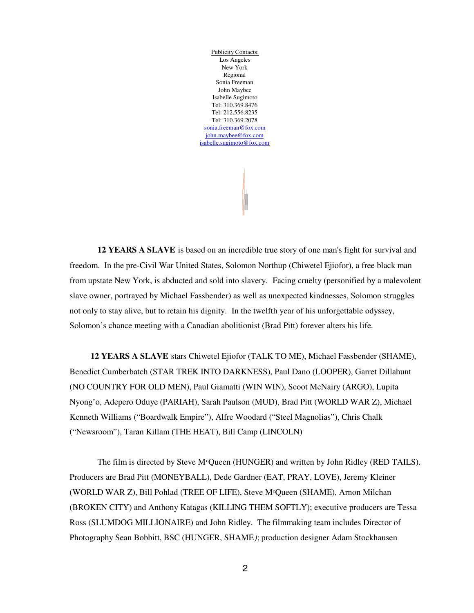Publicity Contacts: Los Angeles New York Regional Sonia Freeman John Maybee Isabelle Sugimoto Tel: 310.369.8476 Tel: 212.556.8235 Tel: 310.369.2078 sonia.freeman@fox.com john.maybee@fox.com isabelle.sugimoto@fox.com

**12 YEARS A SLAVE** is based on an incredible true story of one man's fight for survival and freedom. In the pre-Civil War United States, Solomon Northup (Chiwetel Ejiofor), a free black man from upstate New York, is abducted and sold into slavery. Facing cruelty (personified by a malevolent slave owner, portrayed by Michael Fassbender) as well as unexpected kindnesses, Solomon struggles not only to stay alive, but to retain his dignity. In the twelfth year of his unforgettable odyssey, Solomon's chance meeting with a Canadian abolitionist (Brad Pitt) forever alters his life.

**12 YEARS A SLAVE** stars Chiwetel Ejiofor (TALK TO ME), Michael Fassbender (SHAME), Benedict Cumberbatch (STAR TREK INTO DARKNESS), Paul Dano (LOOPER), Garret Dillahunt (NO COUNTRY FOR OLD MEN), Paul Giamatti (WIN WIN), Scoot McNairy (ARGO), Lupita Nyong'o, Adepero Oduye (PARIAH), Sarah Paulson (MUD), Brad Pitt (WORLD WAR Z), Michael Kenneth Williams ("Boardwalk Empire"), Alfre Woodard ("Steel Magnolias"), Chris Chalk ("Newsroom"), Taran Killam (THE HEAT), Bill Camp (LINCOLN)

The film is directed by Steve  $M^c$ Queen (HUNGER) and written by John Ridley (RED TAILS). Producers are Brad Pitt (MONEYBALL), Dede Gardner (EAT, PRAY, LOVE), Jeremy Kleiner (WORLD WAR Z), Bill Pohlad (TREE OF LIFE), Steve M<sup>c</sup>Queen (SHAME), Arnon Milchan (BROKEN CITY) and Anthony Katagas (KILLING THEM SOFTLY); executive producers are Tessa Ross (SLUMDOG MILLIONAIRE) and John Ridley. The filmmaking team includes Director of Photography Sean Bobbitt, BSC (HUNGER, SHAME*)*; production designer Adam Stockhausen